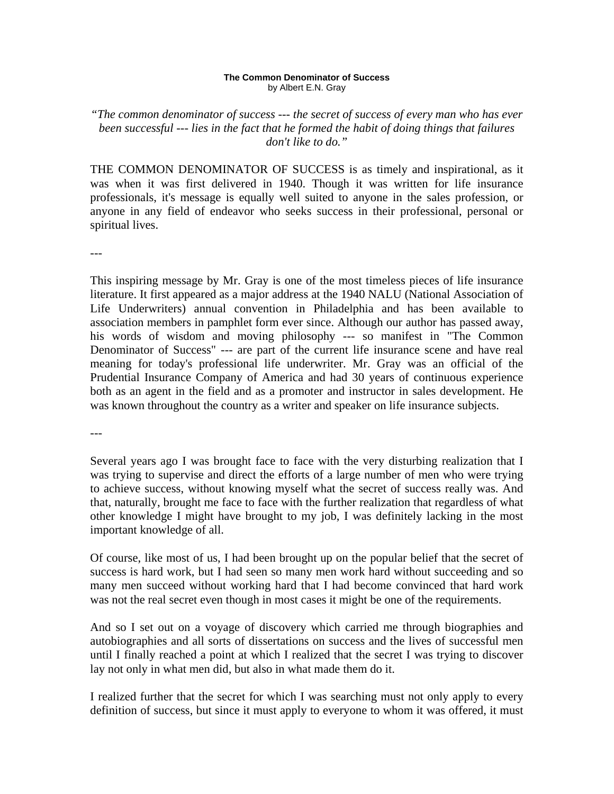## **The Common Denominator of Success**  by Albert E.N. Gray

*"The common denominator of success --- the secret of success of every man who has ever been successful --- lies in the fact that he formed the habit of doing things that failures don't like to do."*

THE COMMON DENOMINATOR OF SUCCESS is as timely and inspirational, as it was when it was first delivered in 1940. Though it was written for life insurance professionals, it's message is equally well suited to anyone in the sales profession, or anyone in any field of endeavor who seeks success in their professional, personal or spiritual lives.

---

This inspiring message by Mr. Gray is one of the most timeless pieces of life insurance literature. It first appeared as a major address at the 1940 NALU (National Association of Life Underwriters) annual convention in Philadelphia and has been available to association members in pamphlet form ever since. Although our author has passed away, his words of wisdom and moving philosophy --- so manifest in "The Common Denominator of Success" --- are part of the current life insurance scene and have real meaning for today's professional life underwriter. Mr. Gray was an official of the Prudential Insurance Company of America and had 30 years of continuous experience both as an agent in the field and as a promoter and instructor in sales development. He was known throughout the country as a writer and speaker on life insurance subjects.

---

Several years ago I was brought face to face with the very disturbing realization that I was trying to supervise and direct the efforts of a large number of men who were trying to achieve success, without knowing myself what the secret of success really was. And that, naturally, brought me face to face with the further realization that regardless of what other knowledge I might have brought to my job, I was definitely lacking in the most important knowledge of all.

Of course, like most of us, I had been brought up on the popular belief that the secret of success is hard work, but I had seen so many men work hard without succeeding and so many men succeed without working hard that I had become convinced that hard work was not the real secret even though in most cases it might be one of the requirements.

And so I set out on a voyage of discovery which carried me through biographies and autobiographies and all sorts of dissertations on success and the lives of successful men until I finally reached a point at which I realized that the secret I was trying to discover lay not only in what men did, but also in what made them do it.

I realized further that the secret for which I was searching must not only apply to every definition of success, but since it must apply to everyone to whom it was offered, it must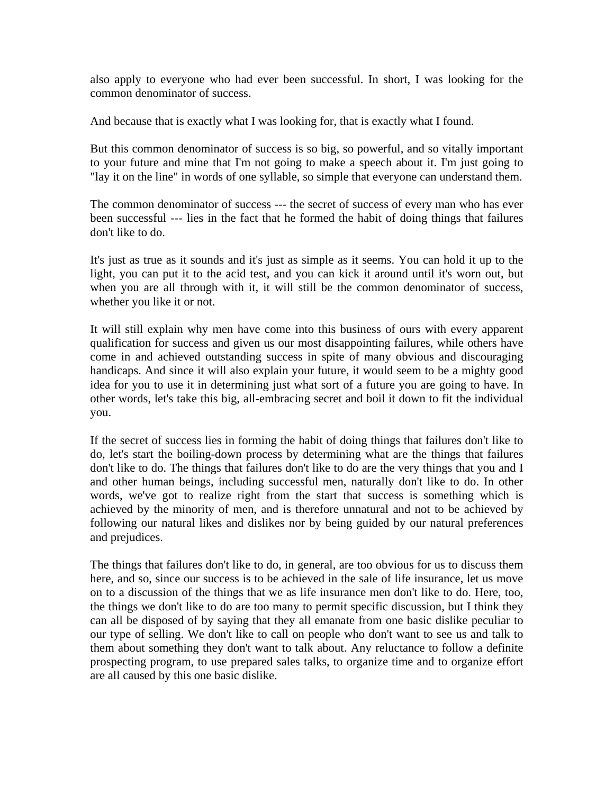also apply to everyone who had ever been successful. In short, I was looking for the common denominator of success.

And because that is exactly what I was looking for, that is exactly what I found.

But this common denominator of success is so big, so powerful, and so vitally important to your future and mine that I'm not going to make a speech about it. I'm just going to "lay it on the line" in words of one syllable, so simple that everyone can understand them.

The common denominator of success --- the secret of success of every man who has ever been successful --- lies in the fact that he formed the habit of doing things that failures don't like to do.

It's just as true as it sounds and it's just as simple as it seems. You can hold it up to the light, you can put it to the acid test, and you can kick it around until it's worn out, but when you are all through with it, it will still be the common denominator of success, whether you like it or not.

It will still explain why men have come into this business of ours with every apparent qualification for success and given us our most disappointing failures, while others have come in and achieved outstanding success in spite of many obvious and discouraging handicaps. And since it will also explain your future, it would seem to be a mighty good idea for you to use it in determining just what sort of a future you are going to have. In other words, let's take this big, all-embracing secret and boil it down to fit the individual you.

If the secret of success lies in forming the habit of doing things that failures don't like to do, let's start the boiling-down process by determining what are the things that failures don't like to do. The things that failures don't like to do are the very things that you and I and other human beings, including successful men, naturally don't like to do. In other words, we've got to realize right from the start that success is something which is achieved by the minority of men, and is therefore unnatural and not to be achieved by following our natural likes and dislikes nor by being guided by our natural preferences and prejudices.

The things that failures don't like to do, in general, are too obvious for us to discuss them here, and so, since our success is to be achieved in the sale of life insurance, let us move on to a discussion of the things that we as life insurance men don't like to do. Here, too, the things we don't like to do are too many to permit specific discussion, but I think they can all be disposed of by saying that they all emanate from one basic dislike peculiar to our type of selling. We don't like to call on people who don't want to see us and talk to them about something they don't want to talk about. Any reluctance to follow a definite prospecting program, to use prepared sales talks, to organize time and to organize effort are all caused by this one basic dislike.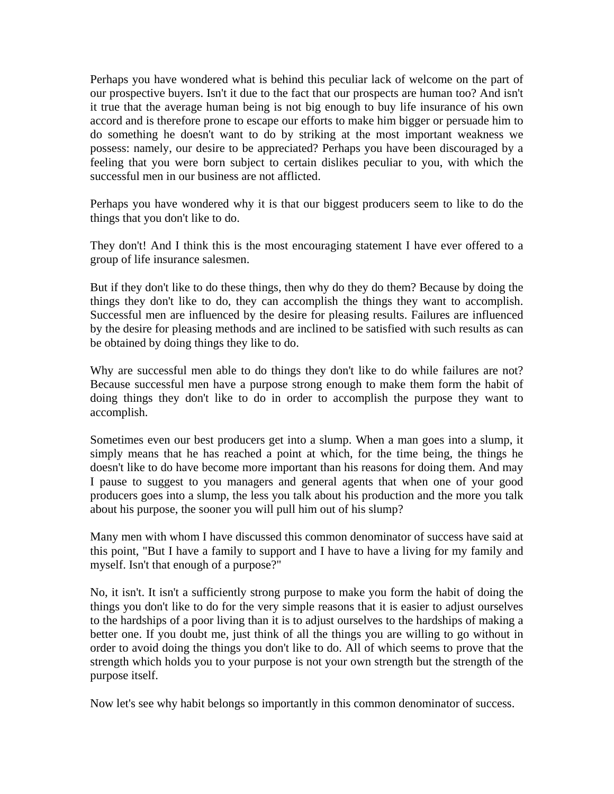Perhaps you have wondered what is behind this peculiar lack of welcome on the part of our prospective buyers. Isn't it due to the fact that our prospects are human too? And isn't it true that the average human being is not big enough to buy life insurance of his own accord and is therefore prone to escape our efforts to make him bigger or persuade him to do something he doesn't want to do by striking at the most important weakness we possess: namely, our desire to be appreciated? Perhaps you have been discouraged by a feeling that you were born subject to certain dislikes peculiar to you, with which the successful men in our business are not afflicted.

Perhaps you have wondered why it is that our biggest producers seem to like to do the things that you don't like to do.

They don't! And I think this is the most encouraging statement I have ever offered to a group of life insurance salesmen.

But if they don't like to do these things, then why do they do them? Because by doing the things they don't like to do, they can accomplish the things they want to accomplish. Successful men are influenced by the desire for pleasing results. Failures are influenced by the desire for pleasing methods and are inclined to be satisfied with such results as can be obtained by doing things they like to do.

Why are successful men able to do things they don't like to do while failures are not? Because successful men have a purpose strong enough to make them form the habit of doing things they don't like to do in order to accomplish the purpose they want to accomplish.

Sometimes even our best producers get into a slump. When a man goes into a slump, it simply means that he has reached a point at which, for the time being, the things he doesn't like to do have become more important than his reasons for doing them. And may I pause to suggest to you managers and general agents that when one of your good producers goes into a slump, the less you talk about his production and the more you talk about his purpose, the sooner you will pull him out of his slump?

Many men with whom I have discussed this common denominator of success have said at this point, "But I have a family to support and I have to have a living for my family and myself. Isn't that enough of a purpose?"

No, it isn't. It isn't a sufficiently strong purpose to make you form the habit of doing the things you don't like to do for the very simple reasons that it is easier to adjust ourselves to the hardships of a poor living than it is to adjust ourselves to the hardships of making a better one. If you doubt me, just think of all the things you are willing to go without in order to avoid doing the things you don't like to do. All of which seems to prove that the strength which holds you to your purpose is not your own strength but the strength of the purpose itself.

Now let's see why habit belongs so importantly in this common denominator of success.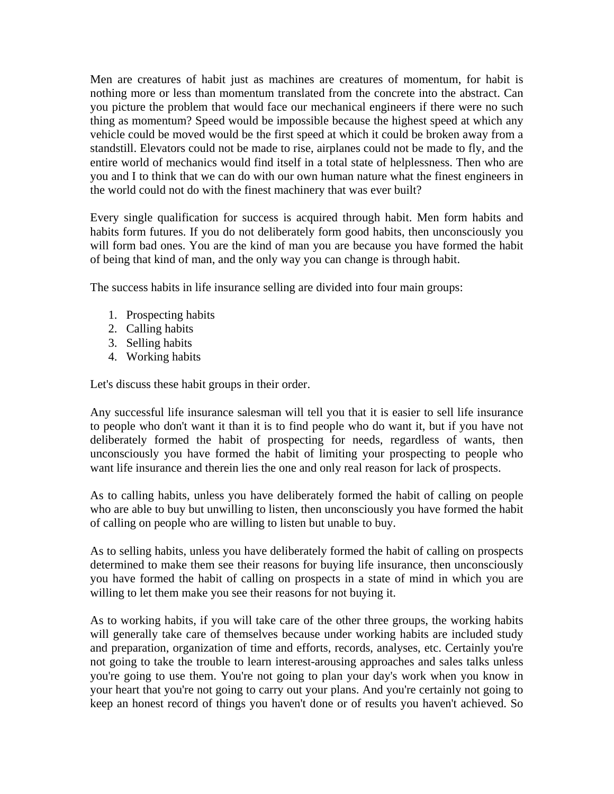Men are creatures of habit just as machines are creatures of momentum, for habit is nothing more or less than momentum translated from the concrete into the abstract. Can you picture the problem that would face our mechanical engineers if there were no such thing as momentum? Speed would be impossible because the highest speed at which any vehicle could be moved would be the first speed at which it could be broken away from a standstill. Elevators could not be made to rise, airplanes could not be made to fly, and the entire world of mechanics would find itself in a total state of helplessness. Then who are you and I to think that we can do with our own human nature what the finest engineers in the world could not do with the finest machinery that was ever built?

Every single qualification for success is acquired through habit. Men form habits and habits form futures. If you do not deliberately form good habits, then unconsciously you will form bad ones. You are the kind of man you are because you have formed the habit of being that kind of man, and the only way you can change is through habit.

The success habits in life insurance selling are divided into four main groups:

- 1. Prospecting habits
- 2. Calling habits
- 3. Selling habits
- 4. Working habits

Let's discuss these habit groups in their order.

Any successful life insurance salesman will tell you that it is easier to sell life insurance to people who don't want it than it is to find people who do want it, but if you have not deliberately formed the habit of prospecting for needs, regardless of wants, then unconsciously you have formed the habit of limiting your prospecting to people who want life insurance and therein lies the one and only real reason for lack of prospects.

As to calling habits, unless you have deliberately formed the habit of calling on people who are able to buy but unwilling to listen, then unconsciously you have formed the habit of calling on people who are willing to listen but unable to buy.

As to selling habits, unless you have deliberately formed the habit of calling on prospects determined to make them see their reasons for buying life insurance, then unconsciously you have formed the habit of calling on prospects in a state of mind in which you are willing to let them make you see their reasons for not buying it.

As to working habits, if you will take care of the other three groups, the working habits will generally take care of themselves because under working habits are included study and preparation, organization of time and efforts, records, analyses, etc. Certainly you're not going to take the trouble to learn interest-arousing approaches and sales talks unless you're going to use them. You're not going to plan your day's work when you know in your heart that you're not going to carry out your plans. And you're certainly not going to keep an honest record of things you haven't done or of results you haven't achieved. So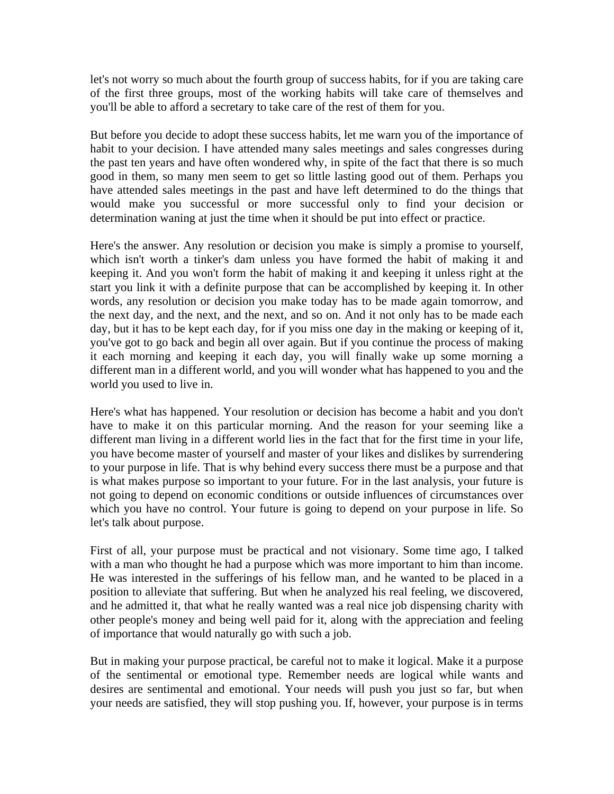let's not worry so much about the fourth group of success habits, for if you are taking care of the first three groups, most of the working habits will take care of themselves and you'll be able to afford a secretary to take care of the rest of them for you.

But before you decide to adopt these success habits, let me warn you of the importance of habit to your decision. I have attended many sales meetings and sales congresses during the past ten years and have often wondered why, in spite of the fact that there is so much good in them, so many men seem to get so little lasting good out of them. Perhaps you have attended sales meetings in the past and have left determined to do the things that would make you successful or more successful only to find your decision or determination waning at just the time when it should be put into effect or practice.

Here's the answer. Any resolution or decision you make is simply a promise to yourself, which isn't worth a tinker's dam unless you have formed the habit of making it and keeping it. And you won't form the habit of making it and keeping it unless right at the start you link it with a definite purpose that can be accomplished by keeping it. In other words, any resolution or decision you make today has to be made again tomorrow, and the next day, and the next, and the next, and so on. And it not only has to be made each day, but it has to be kept each day, for if you miss one day in the making or keeping of it, you've got to go back and begin all over again. But if you continue the process of making it each morning and keeping it each day, you will finally wake up some morning a different man in a different world, and you will wonder what has happened to you and the world you used to live in.

Here's what has happened. Your resolution or decision has become a habit and you don't have to make it on this particular morning. And the reason for your seeming like a different man living in a different world lies in the fact that for the first time in your life, you have become master of yourself and master of your likes and dislikes by surrendering to your purpose in life. That is why behind every success there must be a purpose and that is what makes purpose so important to your future. For in the last analysis, your future is not going to depend on economic conditions or outside influences of circumstances over which you have no control. Your future is going to depend on your purpose in life. So let's talk about purpose.

First of all, your purpose must be practical and not visionary. Some time ago, I talked with a man who thought he had a purpose which was more important to him than income. He was interested in the sufferings of his fellow man, and he wanted to be placed in a position to alleviate that suffering. But when he analyzed his real feeling, we discovered, and he admitted it, that what he really wanted was a real nice job dispensing charity with other people's money and being well paid for it, along with the appreciation and feeling of importance that would naturally go with such a job.

But in making your purpose practical, be careful not to make it logical. Make it a purpose of the sentimental or emotional type. Remember needs are logical while wants and desires are sentimental and emotional. Your needs will push you just so far, but when your needs are satisfied, they will stop pushing you. If, however, your purpose is in terms